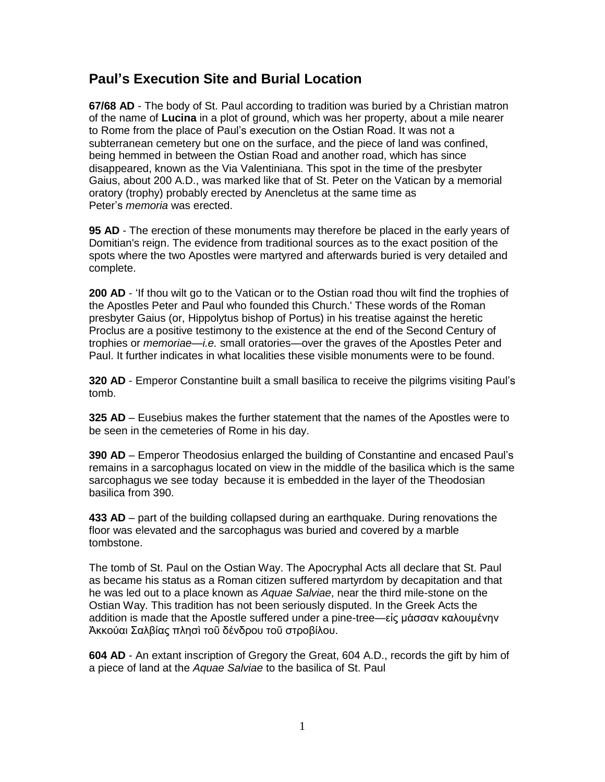## **Paul's Execution Site and Burial Location**

**67/68 AD** - The body of St. Paul according to tradition was buried by a Christian matron of the name of **Lucina** in a plot of ground, which was her property, about a mile nearer to Rome from the place of Paul's execution on the Ostian Road. It was not a subterranean cemetery but one on the surface, and the piece of land was confined, being hemmed in between the Ostian Road and another road, which has since disappeared, known as the Via Valentiniana. This spot in the time of the presbyter Gaius, about 200 A.D., was marked like that of St. Peter on the Vatican by a memorial oratory (trophy) probably erected by Anencletus at the same time as Peter's *memoria* was erected.

**95 AD** - The erection of these monuments may therefore be placed in the early years of Domitian's reign. The evidence from traditional sources as to the exact position of the spots where the two Apostles were martyred and afterwards buried is very detailed and complete.

**200 AD** - 'If thou wilt go to the Vatican or to the Ostian road thou wilt find the trophies of the Apostles Peter and Paul who founded this Church.' These words of the Roman presbyter Gaius (or, Hippolytus bishop of Portus) in his treatise against the heretic Proclus are a positive testimony to the existence at the end of the Second Century of trophies or *memoriae*—*i.e.* small oratories—over the graves of the Apostles Peter and Paul. It further indicates in what localities these visible monuments were to be found.

**320 AD** - Emperor Constantine built a small basilica to receive the pilgrims visiting Paul's tomb.

**325 AD** – Eusebius makes the further statement that the names of the Apostles were to be seen in the cemeteries of Rome in his day.

**390 AD** – Emperor Theodosius enlarged the building of Constantine and encased Paul's remains in a sarcophagus located on view in the middle of the basilica which is the same sarcophagus we see today because it is embedded in the layer of the Theodosian basilica from 390.

**433 AD** – part of the building collapsed during an earthquake. During renovations the floor was elevated and the sarcophagus was buried and covered by a marble tombstone.

The tomb of St. Paul on the Ostian Way. The Apocryphal Acts all declare that St. Paul as became his status as a Roman citizen suffered martyrdom by decapitation and that he was led out to a place known as *Aquae Salviae*, near the third mile-stone on the Ostian Way. This tradition has not been seriously disputed. In the Greek Acts the addition is made that the Apostle suffered under a pine-tree—εἰς μάσσαν καλουμένην Ἀκκούαι Σαλβίας πλησὶ τοῦ δένδρου τοῦ στροβίλου.

**604 AD** - An extant inscription of Gregory the Great, 604 A.D., records the gift by him of a piece of land at the *Aquae Salviae* to the basilica of St. Paul